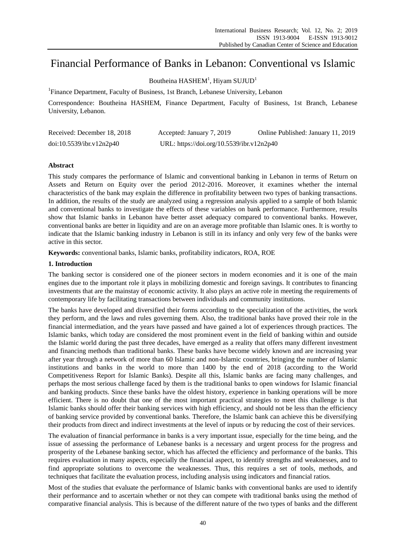# Financial Performance of Banks in Lebanon: Conventional vs Islamic

Boutheina HASHEM<sup>1</sup>, Hiyam SUJUD<sup>1</sup>

<sup>1</sup>Finance Department, Faculty of Business, 1st Branch, Lebanese University, Lebanon

Correspondence: Boutheina HASHEM, Finance Department, Faculty of Business, 1st Branch, Lebanese University, Lebanon.

| Received: December 18, 2018 | Accepted: January 7, 2019                 | Online Published: January 11, 2019 |
|-----------------------------|-------------------------------------------|------------------------------------|
| doi:10.5539/ibr.v12n2p40    | URL: https://doi.org/10.5539/ibr.v12n2p40 |                                    |

# **Abstract**

This study compares the performance of Islamic and conventional banking in Lebanon in terms of Return on Assets and Return on Equity over the period 2012-2016. Moreover, it examines whether the internal characteristics of the bank may explain the difference in profitability between two types of banking transactions. In addition, the results of the study are analyzed using a regression analysis applied to a sample of both Islamic and conventional banks to investigate the effects of these variables on bank performance. Furthermore, results show that Islamic banks in Lebanon have better asset adequacy compared to conventional banks. However, conventional banks are better in liquidity and are on an average more profitable than Islamic ones. It is worthy to indicate that the Islamic banking industry in Lebanon is still in its infancy and only very few of the banks were active in this sector.

**Keywords:** conventional banks, Islamic banks, profitability indicators, ROA, ROE

# **1. Introduction**

The banking sector is considered one of the pioneer sectors in modern economies and it is one of the main engines due to the important role it plays in mobilizing domestic and foreign savings. It contributes to financing investments that are the mainstay of economic activity. It also plays an active role in meeting the requirements of contemporary life by facilitating transactions between individuals and community institutions.

The banks have developed and diversified their forms according to the specialization of the activities, the work they perform, and the laws and rules governing them. Also, the traditional banks have proved their role in the financial intermediation, and the years have passed and have gained a lot of experiences through practices. The Islamic banks, which today are considered the most prominent event in the field of banking within and outside the Islamic world during the past three decades, have emerged as a reality that offers many different investment and financing methods than traditional banks. These banks have become widely known and are increasing year after year through a network of more than 60 Islamic and non-Islamic countries, bringing the number of Islamic institutions and banks in the world to more than 1400 by the end of 2018 (according to the World Competitiveness Report for Islamic Banks). Despite all this, Islamic banks are facing many challenges, and perhaps the most serious challenge faced by them is the traditional banks to open windows for Islamic financial and banking products. Since these banks have the oldest history, experience in banking operations will be more efficient. There is no doubt that one of the most important practical strategies to meet this challenge is that Islamic banks should offer their banking services with high efficiency, and should not be less than the efficiency of banking service provided by conventional banks. Therefore, the Islamic bank can achieve this be diversifying their products from direct and indirect investments at the level of inputs or by reducing the cost of their services.

The evaluation of financial performance in banks is a very important issue, especially for the time being, and the issue of assessing the performance of Lebanese banks is a necessary and urgent process for the progress and prosperity of the Lebanese banking sector, which has affected the efficiency and performance of the banks. This requires evaluation in many aspects, especially the financial aspect, to identify strengths and weaknesses, and to find appropriate solutions to overcome the weaknesses. Thus, this requires a set of tools, methods, and techniques that facilitate the evaluation process, including analysis using indicators and financial ratios.

Most of the studies that evaluate the performance of Islamic banks with conventional banks are used to identify their performance and to ascertain whether or not they can compete with traditional banks using the method of comparative financial analysis. This is because of the different nature of the two types of banks and the different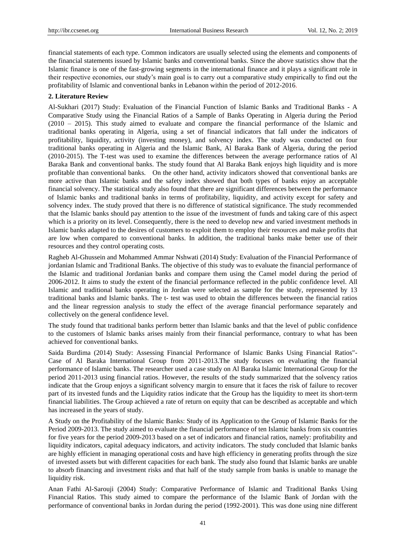financial statements of each type. Common indicators are usually selected using the elements and components of the financial statements issued by Islamic banks and conventional banks. Since the above statistics show that the Islamic finance is one of the fast-growing segments in the international finance and it plays a significant role in their respective economies, our study's main goal is to carry out a comparative study empirically to find out the profitability of Islamic and conventional banks in Lebanon within the period of 2012-2016.

# **2. Literature Review**

Al-Sukhari (2017) Study: Evaluation of the Financial Function of Islamic Banks and Traditional Banks - A Comparative Study using the Financial Ratios of a Sample of Banks Operating in Algeria during the Period (2010 – 2015). This study aimed to evaluate and compare the financial performance of the Islamic and traditional banks operating in Algeria, using a set of financial indicators that fall under the indicators of profitability, liquidity, activity (investing money), and solvency index. The study was conducted on four traditional banks operating in Algeria and the Islamic Bank, Al Baraka Bank of Algeria, during the period (2010-2015). The T-test was used to examine the differences between the average performance ratios of Al Baraka Bank and conventional banks. The study found that Al Baraka Bank enjoys high liquidity and is more profitable than conventional banks. On the other hand, activity indicators showed that conventional banks are more active than Islamic banks and the safety index showed that both types of banks enjoy an acceptable financial solvency. The statistical study also found that there are significant differences between the performance of Islamic banks and traditional banks in terms of profitability, liquidity, and activity except for safety and solvency index. The study proved that there is no difference of statistical significance. The study recommended that the Islamic banks should pay attention to the issue of the investment of funds and taking care of this aspect which is a priority on its level. Consequently, there is the need to develop new and varied investment methods in Islamic banks adapted to the desires of customers to exploit them to employ their resources and make profits that are low when compared to conventional banks. In addition, the traditional banks make better use of their resources and they control operating costs.

Ragheb Al-Ghussein and Mohammed Ammar Nshwati (2014) Study: Evaluation of the Financial Performance of jordanian Islamic and Traditional Banks. The objective of this study was to evaluate the financial performance of the Islamic and traditional Jordanian banks and compare them using the Camel model during the period of 2006-2012. It aims to study the extent of the financial performance reflected in the public confidence level. All Islamic and traditional banks operating in Jordan were selected as sample for the study, represented by 13 traditional banks and Islamic banks. The t- test was used to obtain the differences between the financial ratios and the linear regression analysis to study the effect of the average financial performance separately and collectively on the general confidence level.

The study found that traditional banks perform better than Islamic banks and that the level of public confidence to the customers of Islamic banks arises mainly from their financial performance, contrary to what has been achieved for conventional banks.

Saida Burdima (2014) Study: Assessing Financial Performance of Islamic Banks Using Financial Ratios"- Case of Al Baraka International Group from 2011-2013.The study focuses on evaluating the financial performance of Islamic banks. The researcher used a case study on Al Baraka Islamic International Group for the period 2011-2013 using financial ratios. However, the results of the study summarized that the solvency ratios indicate that the Group enjoys a significant solvency margin to ensure that it faces the risk of failure to recover part of its invested funds and the Liquidity ratios indicate that the Group has the liquidity to meet its short-term financial liabilities. The Group achieved a rate of return on equity that can be described as acceptable and which has increased in the years of study.

A Study on the Profitability of the Islamic Banks: Study of its Application to the Group of Islamic Banks for the Period 2009-2013. The study aimed to evaluate the financial performance of ten Islamic banks from six countries for five years for the period 2009-2013 based on a set of indicators and financial ratios, namely: profitability and liquidity indicators, capital adequacy indicators, and activity indicators. The study concluded that Islamic banks are highly efficient in managing operational costs and have high efficiency in generating profits through the size of invested assets but with different capacities for each bank. The study also found that Islamic banks are unable to absorb financing and investment risks and that half of the study sample from banks is unable to manage the liquidity risk.

Anan Fathi Al-Sarouji (2004) Study: Comparative Performance of Islamic and Traditional Banks Using Financial Ratios. This study aimed to compare the performance of the Islamic Bank of Jordan with the performance of conventional banks in Jordan during the period (1992-2001). This was done using nine different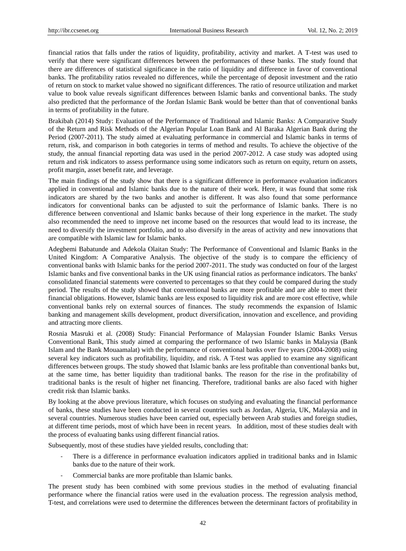financial ratios that falls under the ratios of liquidity, profitability, activity and market. A T-test was used to verify that there were significant differences between the performances of these banks. The study found that there are differences of statistical significance in the ratio of liquidity and difference in favor of conventional banks. The profitability ratios revealed no differences, while the percentage of deposit investment and the ratio of return on stock to market value showed no significant differences. The ratio of resource utilization and market value to book value reveals significant differences between Islamic banks and conventional banks. The study also predicted that the performance of the Jordan Islamic Bank would be better than that of conventional banks in terms of profitability in the future.

Brakibah (2014) Study: Evaluation of the Performance of Traditional and Islamic Banks: A Comparative Study of the Return and Risk Methods of the Algerian Popular Loan Bank and Al Baraka Algerian Bank during the Period (2007-2011). The study aimed at evaluating performance in commercial and Islamic banks in terms of return, risk, and comparison in both categories in terms of method and results. To achieve the objective of the study, the annual financial reporting data was used in the period 2007-2012. A case study was adopted using return and risk indicators to assess performance using some indicators such as return on equity, return on assets, profit margin, asset benefit rate, and leverage.

The main findings of the study show that there is a significant difference in performance evaluation indicators applied in conventional and Islamic banks due to the nature of their work. Here, it was found that some risk indicators are shared by the two banks and another is different. It was also found that some performance indicators for conventional banks can be adjusted to suit the performance of Islamic banks. There is no difference between conventional and Islamic banks because of their long experience in the market. The study also recommended the need to improve net income based on the resources that would lead to its increase, the need to diversify the investment portfolio, and to also diversify in the areas of activity and new innovations that are compatible with Islamic law for Islamic banks.

Adegbemi Babatunde and Adekola Olaitan Study: The Performance of Conventional and Islamic Banks in the United Kingdom: A Comparative Analysis. The objective of the study is to compare the efficiency of conventional banks with Islamic banks for the period 2007-2011. The study was conducted on four of the largest Islamic banks and five conventional banks in the UK using financial ratios as performance indicators. The banks' consolidated financial statements were converted to percentages so that they could be compared during the study period. The results of the study showed that conventional banks are more profitable and are able to meet their financial obligations. However, Islamic banks are less exposed to liquidity risk and are more cost effective, while conventional banks rely on external sources of finances. The study recommends the expansion of Islamic banking and management skills development, product diversification, innovation and excellence, and providing and attracting more clients.

Rosnia Masruki et al. (2008) Study: Financial Performance of Malaysian Founder Islamic Banks Versus Conventional Bank, This study aimed at comparing the performance of two Islamic banks in Malaysia (Bank Islam and the Bank Mouaamalat) with the performance of conventional banks over five years (2004-2008) using several key indicators such as profitability, liquidity, and risk. A T-test was applied to examine any significant differences between groups. The study showed that Islamic banks are less profitable than conventional banks but, at the same time, has better liquidity than traditional banks. The reason for the rise in the profitability of traditional banks is the result of higher net financing. Therefore, traditional banks are also faced with higher credit risk than Islamic banks.

By looking at the above previous literature, which focuses on studying and evaluating the financial performance of banks, these studies have been conducted in several countries such as Jordan, Algeria, UK, Malaysia and in several countries. Numerous studies have been carried out, especially between Arab studies and foreign studies, at different time periods, most of which have been in recent years. In addition, most of these studies dealt with the process of evaluating banks using different financial ratios.

Subsequently, most of these studies have yielded results, concluding that:

- There is a difference in performance evaluation indicators applied in traditional banks and in Islamic banks due to the nature of their work.
- Commercial banks are more profitable than Islamic banks.

The present study has been combined with some previous studies in the method of evaluating financial performance where the financial ratios were used in the evaluation process. The regression analysis method, T-test, and correlations were used to determine the differences between the determinant factors of profitability in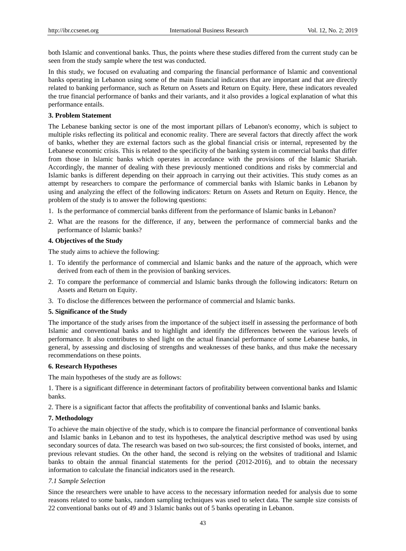both Islamic and conventional banks. Thus, the points where these studies differed from the current study can be seen from the study sample where the test was conducted.

In this study, we focused on evaluating and comparing the financial performance of Islamic and conventional banks operating in Lebanon using some of the main financial indicators that are important and that are directly related to banking performance, such as Return on Assets and Return on Equity. Here, these indicators revealed the true financial performance of banks and their variants, and it also provides a logical explanation of what this performance entails.

#### **3. Problem Statement**

The Lebanese banking sector is one of the most important pillars of Lebanon's economy, which is subject to multiple risks reflecting its political and economic reality. There are several factors that directly affect the work of banks, whether they are external factors such as the global financial crisis or internal, represented by the Lebanese economic crisis. This is related to the specificity of the banking system in commercial banks that differ from those in Islamic banks which operates in accordance with the provisions of the Islamic Shariah. Accordingly, the manner of dealing with these previously mentioned conditions and risks by commercial and Islamic banks is different depending on their approach in carrying out their activities. This study comes as an attempt by researchers to compare the performance of commercial banks with Islamic banks in Lebanon by using and analyzing the effect of the following indicators: Return on Assets and Return on Equity. Hence, the problem of the study is to answer the following questions:

- 1. Is the performance of commercial banks different from the performance of Islamic banks in Lebanon?
- 2. What are the reasons for the difference, if any, between the performance of commercial banks and the performance of Islamic banks?

# **4. Objectives of the Study**

The study aims to achieve the following:

- 1. To identify the performance of commercial and Islamic banks and the nature of the approach, which were derived from each of them in the provision of banking services.
- 2. To compare the performance of commercial and Islamic banks through the following indicators: Return on Assets and Return on Equity.
- 3. To disclose the differences between the performance of commercial and Islamic banks.

#### **5. Significance of the Study**

The importance of the study arises from the importance of the subject itself in assessing the performance of both Islamic and conventional banks and to highlight and identify the differences between the various levels of performance. It also contributes to shed light on the actual financial performance of some Lebanese banks, in general, by assessing and disclosing of strengths and weaknesses of these banks, and thus make the necessary recommendations on these points.

# **6. Research Hypotheses**

The main hypotheses of the study are as follows:

1. There is a significant difference in determinant factors of profitability between conventional banks and Islamic banks.

2. There is a significant factor that affects the profitability of conventional banks and Islamic banks.

# **7. Methodology**

To achieve the main objective of the study, which is to compare the financial performance of conventional banks and Islamic banks in Lebanon and to test its hypotheses, the analytical descriptive method was used by using secondary sources of data. The research was based on two sub-sources; the first consisted of books, internet, and previous relevant studies. On the other hand, the second is relying on the websites of traditional and Islamic banks to obtain the annual financial statements for the period (2012-2016), and to obtain the necessary information to calculate the financial indicators used in the research.

#### *7.1 Sample Selection*

Since the researchers were unable to have access to the necessary information needed for analysis due to some reasons related to some banks, random sampling techniques was used to select data. The sample size consists of 22 conventional banks out of 49 and 3 Islamic banks out of 5 banks operating in Lebanon.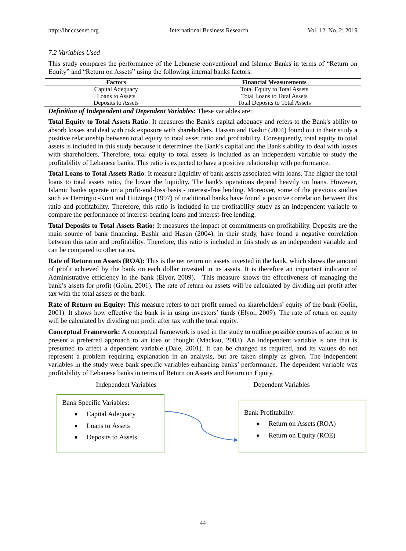# *7.2 Variables Used*

This study compares the performance of the Lebanese conventional and Islamic Banks in terms of "Return on Equity" and "Return on Assets" using the following internal banks factors:

| <b>Factors</b>         | <b>Financial Measurements</b>         |
|------------------------|---------------------------------------|
| Capital Adequacy       | <b>Total Equity to Total Assets</b>   |
| <b>Loans to Assets</b> | <b>Total Loans to Total Assets</b>    |
| Deposits to Assets     | <b>Total Deposits to Total Assets</b> |
|                        |                                       |

*Definition of Independent and Dependent Variables:* These variables are:

**Total Equity to Total Assets Ratio**: It measures the Bank's capital adequacy and refers to the Bank's ability to absorb losses and deal with risk exposure with shareholders. Hassan and Bashir (2004) found out in their study a positive relationship between total equity to total asset ratio and profitability. Consequently, total equity to total assets is included in this study because it determines the Bank's capital and the Bank's ability to deal with losses with shareholders. Therefore, total equity to total assets is included as an independent variable to study the profitability of Lebanese banks. This ratio is expected to have a positive relationship with performance.

**Total Loans to Total Assets Ratio**: It measure liquidity of bank assets associated with loans. The higher the total loans to total assets ratio, the lower the liquidity. The bank's operations depend heavily on loans. However, Islamic banks operate on a profit-and-loss basis - interest-free lending. Moreover, some of the previous studies such as Demirguc-Kunt and Huizinga (1997) of traditional banks have found a positive correlation between this ratio and profitability. Therefore, this ratio is included in the profitability study as an independent variable to compare the performance of interest-bearing loans and interest-free lending.

**Total Deposits to Total Assets Ratio:** It measures the impact of commitments on profitability. Deposits are the main source of bank financing. Bashir and Hasan (2004), in their study, have found a negative correlation between this ratio and profitability. Therefore, this ratio is included in this study as an independent variable and can be compared to other ratios.

**Rate of Return on Assets (ROA):** This is the net return on assets invested in the bank, which shows the amount of profit achieved by the bank on each dollar invested in its assets. It is therefore an important indicator of Administrative efficiency in the bank (Elyor, 2009). This measure shows the effectiveness of managing the bank's assets for profit (Golin, 2001). The rate of return on assets will be calculated by dividing net profit after tax with the total assets of the bank.

**Rate of Return on Equity:** This measure refers to net profit earned on shareholders' equity of the bank (Golin, 2001). It shows how effective the bank is in using investors' funds (Elyor, 2009). The rate of return on equity will be calculated by dividing net profit after tax with the total equity.

**Conceptual Framework:** A conceptual framework is used in the study to outline possible courses of action or to present a preferred approach to an idea or thought (Mackau, 2003). An independent variable is one that is presumed to affect a dependent variable (Dale, 2001). It can be changed as required, and its values do not represent a problem requiring explanation in an analysis, but are taken simply as given. The independent variables in the study were bank specific variables enhancing banks' performance. The dependent variable was profitability of Lebanese banks in terms of Return on Assets and Return on Equity.

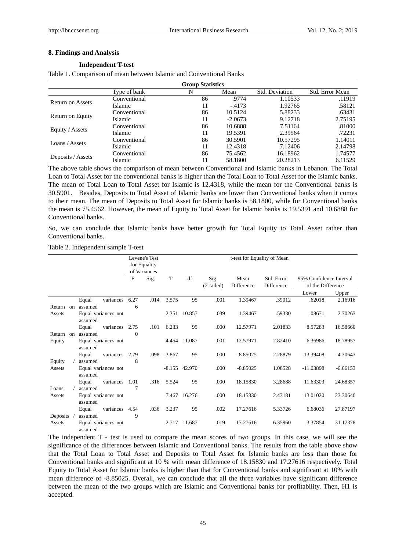# **8. Findings and Analysis**

# **Independent T-test**

Table 1. Comparison of mean between Islamic and Conventional Banks

| <b>Group Statistics</b> |              |    |           |                |                 |  |  |  |
|-------------------------|--------------|----|-----------|----------------|-----------------|--|--|--|
|                         | Type of bank | N  | Mean      | Std. Deviation | Std. Error Mean |  |  |  |
| <b>Return on Assets</b> | Conventional | 86 | .9774     | 1.10533        | .11919          |  |  |  |
|                         | Islamic      | 11 | $-4173$   | 1.92765        | .58121          |  |  |  |
| Return on Equity        | Conventional | 86 | 10.5124   | 5.88233        | .63431          |  |  |  |
|                         | Islamic      | 11 | $-2.0673$ | 9.12718        | 2.75195         |  |  |  |
|                         | Conventional | 86 | 10.6888   | 7.51164        | .81000          |  |  |  |
| Equity / Assets         | Islamic      | 11 | 19.5391   | 2.39564        | .72231          |  |  |  |
| Loans / Assets          | Conventional | 86 | 30.5901   | 10.57295       | 1.14011         |  |  |  |
|                         | Islamic      | 11 | 12.4318   | 7.12406        | 2.14798         |  |  |  |
| Deposits / Assets       | Conventional | 86 | 75.4562   | 16.18962       | 1.74577         |  |  |  |
|                         | Islamic      | 11 | 58.1800   | 20.28213       | 6.11529         |  |  |  |

The above table shows the comparison of mean between Conventional and Islamic banks in Lebanon. The Total Loan to Total Asset for the conventional banks is higher than the Total Loan to Total Asset for the Islamic banks. The mean of Total Loan to Total Asset for Islamic is 12.4318, while the mean for the Conventional banks is 30.5901. Besides, Deposits to Total Asset of Islamic banks are lower than Conventional banks when it comes to their mean. The mean of Deposits to Total Asset for Islamic banks is 58.1800, while for Conventional banks the mean is 75.4562. However, the mean of Equity to Total Asset for Islamic banks is 19.5391 and 10.6888 for Conventional banks.

So, we can conclude that Islamic banks have better growth for Total Equity to Total Asset rather than Conventional banks.

#### Table 2. Independent sample T-test

|          |          |                     |           |          | Levene's Test |             |              |              | t-test for Equality of Mean |            |                         |            |
|----------|----------|---------------------|-----------|----------|---------------|-------------|--------------|--------------|-----------------------------|------------|-------------------------|------------|
|          |          |                     |           |          | for Equality  |             |              |              |                             |            |                         |            |
|          |          |                     |           |          | of Variances  |             |              |              |                             |            |                         |            |
|          |          |                     |           | F        | Sig.          | T           | df           | Sig.         | Mean                        | Std. Error | 95% Confidence Interval |            |
|          |          |                     |           |          |               |             |              | $(2-tailed)$ | Difference                  | Difference | of the Difference       |            |
|          |          |                     |           |          |               |             |              |              |                             |            | Lower                   | Upper      |
|          |          | Equal               | variances | 6.27     | .014          | 3.575       | 95           | .001         | 1.39467                     | .39012     | .62018                  | 2.16916    |
| Return   | $\alpha$ | assumed             |           | 6        |               |             |              |              |                             |            |                         |            |
| Assets   |          | Equal variances not |           |          |               |             | 2.351 10.857 | .039         | 1.39467                     | .59330     | .08671                  | 2.70263    |
|          |          | assumed             |           |          |               |             |              |              |                             |            |                         |            |
|          |          | Equal               | variances | 2.75     | .101          | 6.233       | 95           | .000         | 12.57971                    | 2.01833    | 8.57283                 | 16.58660   |
| Return   | $\alpha$ | assumed             |           | $\Omega$ |               |             |              |              |                             |            |                         |            |
| Equity   |          | Equal variances not |           |          |               | 4.454       | 11.087       | .001         | 12.57971                    | 2.82410    | 6.36986                 | 18.78957   |
|          |          | assumed             |           |          |               |             |              |              |                             |            |                         |            |
|          |          | Equal               | variances | 2.79     |               | .098 -3.867 | 95           | .000         | $-8.85025$                  | 2.28879    | $-13.39408$             | $-4.30643$ |
| Equity   |          | assumed             |           | 8        |               |             |              |              |                             |            |                         |            |
| Assets   |          | Equal variances not |           |          |               | $-8.155$    | 42.970       | .000         | $-8.85025$                  | 1.08528    | $-11.03898$             | $-6.66153$ |
|          |          | assumed             |           |          |               |             |              |              |                             |            |                         |            |
|          |          | Equal               | variances | 1.01     | .316          | 5.524       | 95           | .000         | 18.15830                    | 3.28688    | 11.63303                | 24.68357   |
| Loans    |          | assumed             |           | 7        |               |             |              |              |                             |            |                         |            |
| Assets   |          | Equal variances not |           |          |               | 7.467       | 16.276       | .000         | 18.15830                    | 2.43181    | 13.01020                | 23.30640   |
|          |          | assumed             |           |          |               |             |              |              |                             |            |                         |            |
|          |          | Equal               | variances | 4.54     | .036          | 3.237       | 95           | .002         | 17.27616                    | 5.33726    | 6.68036                 | 27.87197   |
| Deposits |          | assumed             |           | 9        |               |             |              |              | 17.27616                    |            |                         | 31.17378   |
| Assets   |          | Equal variances not |           |          |               | 2.717       | 11.687       | .019         |                             | 6.35960    | 3.37854                 |            |
|          |          | assumed             |           |          |               |             |              |              |                             |            |                         |            |

The independent T - test is used to compare the mean scores of two groups. In this case, we will see the significance of the differences between Islamic and Conventional banks. The results from the table above show that the Total Loan to Total Asset and Deposits to Total Asset for Islamic banks are less than those for Conventional banks and significant at 10 % with mean difference of 18.15830 and 17.27616 respectively. Total Equity to Total Asset for Islamic banks is higher than that for Conventional banks and significant at 10% with mean difference of -8.85025. Overall, we can conclude that all the three variables have significant difference between the mean of the two groups which are Islamic and Conventional banks for profitability. Then, H1 is accepted.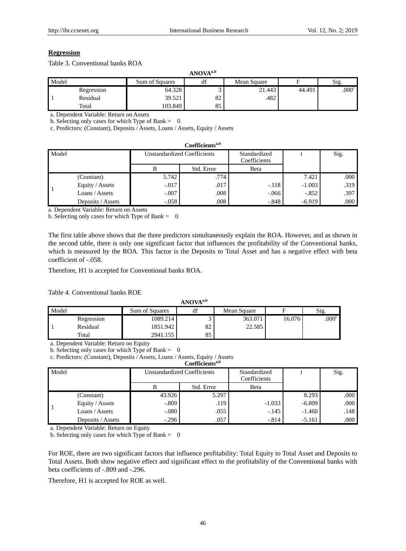# **Regression**

Table 3. Conventional banks ROA

|       | ANOVA <sup>a,b</sup> |                |                    |             |        |                   |  |
|-------|----------------------|----------------|--------------------|-------------|--------|-------------------|--|
| Model |                      | Sum of Squares | $\mathbf{r}$<br>df | Mean Square |        | Sig.              |  |
|       | Regression           | 64.328         |                    | 21.443      | 44.491 | .000 <sup>c</sup> |  |
|       | Residual             | 39.521         | 82                 | .482        |        |                   |  |
|       | Total                | 103.849        | 85                 |             |        |                   |  |

a. Dependent Variable: Return on Assets

b. Selecting only cases for which Type of Bank  $= 0$ 

c. Predictors: (Constant), Deposits / Assets, Loans / Assets, Equity / Assets

|       | Coefficients <sup>a,b</sup> |                                    |            |                              |          |      |  |  |  |
|-------|-----------------------------|------------------------------------|------------|------------------------------|----------|------|--|--|--|
| Model |                             | <b>Unstandardized Coefficients</b> |            | Standardized<br>Coefficients |          | Sig. |  |  |  |
|       |                             |                                    | Std. Error | Beta                         |          |      |  |  |  |
|       | (Constant)                  | 5.742                              | .774       |                              | 7.421    | .000 |  |  |  |
|       | Equity / Assets             | $-0.017$                           | .017       | $-.118$                      | $-1.003$ | .319 |  |  |  |
|       | Loans / Assets              | $-.007$                            | .008       | $-.066$                      | $-.852$  | .397 |  |  |  |
|       | Deposits / Assets           | $-.058$                            | .008       | $-.848$                      | $-6.919$ | .000 |  |  |  |

a. Dependent Variable: Return on Assets

b. Selecting only cases for which Type of Bank  $= 0$ 

The first table above shows that the three predictors simultaneously explain the ROA. However, and as shown in the second table, there is only one significant factor that influences the profitability of the Conventional banks, which is measured by the ROA. This factor is the Deposits to Total Asset and has a negative effect with beta coefficient of -.058.

Therefore, H1 is accepted for Conventional banks ROA.

Table 4. Conventional banks ROE

|       | ANOVA <sup>a,b</sup> |                |    |             |        |                |  |  |
|-------|----------------------|----------------|----|-------------|--------|----------------|--|--|
| Model |                      | Sum of Squares | df | Mean Square | н      | Sig.           |  |  |
|       | Regression           | 1089.214       |    | 363.071     | 16.076 | $.000^{\circ}$ |  |  |
|       | Residual             | 1851.942       | 82 | 22.585      |        |                |  |  |
|       | Total                | 2941.155       | 85 |             |        |                |  |  |

a. Dependent Variable: Return on Equity

b. Selecting only cases for which Type of Bank  $= 0$ 

c. Predictors: (Constant), Deposits / Assets, Loans / Assets, Equity / Assets

|       | Coefficients <sup>a,b</sup> |         |                                    |                              |          |      |  |  |  |
|-------|-----------------------------|---------|------------------------------------|------------------------------|----------|------|--|--|--|
| Model |                             |         | <b>Unstandardized Coefficients</b> | Standardized<br>Coefficients |          | Sig. |  |  |  |
|       |                             |         | Std. Error                         | Beta                         |          |      |  |  |  |
|       | (Constant)                  | 43.926  | 5.297                              |                              | 8.293    | .000 |  |  |  |
|       | Equity / Assets             | $-.809$ | .119                               | $-1.033$                     | $-6.809$ | .000 |  |  |  |
|       | Loans / Assets              | $-080$  | .055                               | $-.145$                      | $-1.460$ | .148 |  |  |  |
|       | Deposits / Assets           | $-.296$ | .057                               | $-.814$                      | $-5.161$ | .000 |  |  |  |

a. Dependent Variable: Return on Equity

b. Selecting only cases for which Type of Bank  $= 0$ 

For ROE, there are two significant factors that influence profitability: Total Equity to Total Asset and Deposits to Total Assets. Both show negative effect and significant effect to the profitability of the Conventional banks with beta coefficients of -.809 and -.296.

Therefore, H1 is accepted for ROE as well.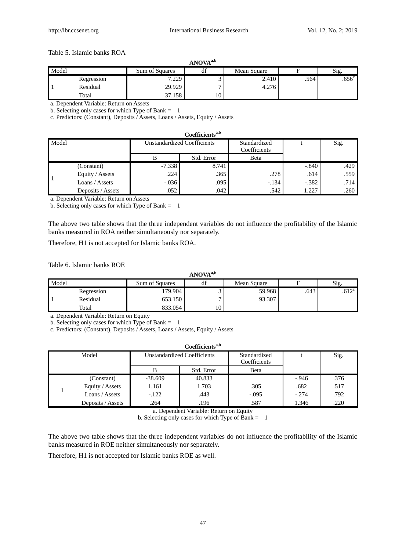# Table 5. Islamic banks ROA

|       | ANOVA <sup>a,b</sup> |                |    |             |      |                   |  |
|-------|----------------------|----------------|----|-------------|------|-------------------|--|
| Model |                      | Sum of Squares | ai | Mean Square |      | S1g.              |  |
|       | Regression           | 7.229          | ◡  | 2.410       | .564 | .656 <sup>c</sup> |  |
|       | Residual             | 29.929         |    | 4.276       |      |                   |  |
|       | Total                | 37.158         | 10 |             |      |                   |  |

a. Dependent Variable: Return on Assets

b. Selecting only cases for which Type of Bank  $= 1$ 

c. Predictors: (Constant), Deposits / Assets, Loans / Assets, Equity / Assets

#### **Coefficientsa,b**

| Model |                   |          | <b>Unstandardized Coefficients</b> | Standardized<br>Coefficients |         | Sig. |  |  |
|-------|-------------------|----------|------------------------------------|------------------------------|---------|------|--|--|
|       |                   |          | Std. Error                         | Beta                         |         |      |  |  |
|       | (Constant)        | $-7.338$ | 8.741                              |                              | $-.840$ | .429 |  |  |
|       | Equity / Assets   | .224     | .365                               | .278                         | .614    | .559 |  |  |
|       | Loans / Assets    | $-0.036$ | .095                               | $-.134$                      | $-.382$ | .714 |  |  |
|       | Deposits / Assets | .052     | .042                               | .542                         | 1.227   | .260 |  |  |

a. Dependent Variable: Return on Assets

b. Selecting only cases for which Type of Bank  $= 1$ 

The above two table shows that the three independent variables do not influence the profitability of the Islamic banks measured in ROA neither simultaneously nor separately.

Therefore, H1 is not accepted for Islamic banks ROA.

Table 6. Islamic banks ROE

#### **ANOVAa,b**

| Model |            | Sum of Squares | $\sim$<br>uг | Mean Square |      | Sig.              |
|-------|------------|----------------|--------------|-------------|------|-------------------|
|       | Regression | 179.904        |              | 59.968      | .643 | .612 <sup>c</sup> |
|       | Residual   | 653.150        |              | 93.307      |      |                   |
|       | Total      | 833.054        | 10           |             |      |                   |

a. Dependent Variable: Return on Equity

b. Selecting only cases for which Type of Bank =  $1$ 

c. Predictors: (Constant), Deposits / Assets, Loans / Assets, Equity / Assets

| Coefficients <sup>a,b</sup> |                                    |            |                              |         |      |  |  |  |
|-----------------------------|------------------------------------|------------|------------------------------|---------|------|--|--|--|
| Model                       | <b>Unstandardized Coefficients</b> |            | Standardized<br>Coefficients |         | Sig. |  |  |  |
|                             | в                                  | Std. Error | Beta                         |         |      |  |  |  |
| (Constant)                  | $-38.609$                          | 40.833     |                              | $-.946$ | .376 |  |  |  |
| Equity / Assets             | 1.161                              | 1.703      | .305                         | .682    | .517 |  |  |  |
| Loans / Assets              | $-122$                             | .443       | $-.095$                      | $-.274$ | .792 |  |  |  |
| Deposits / Assets           | .264                               | .196       | .587                         | 1.346   | .220 |  |  |  |

a. Dependent Variable: Return on Equity

b. Selecting only cases for which Type of Bank  $= 1$ 

The above two table shows that the three independent variables do not influence the profitability of the Islamic banks measured in ROE neither simultaneously nor separately.

Therefore, H1 is not accepted for Islamic banks ROE as well.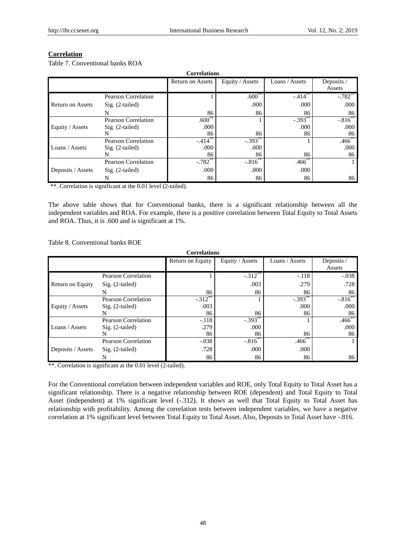# **Correlation**

Table 7. Conventional banks ROA

| <b>Correlations</b>     |                            |                         |                 |                |            |  |  |
|-------------------------|----------------------------|-------------------------|-----------------|----------------|------------|--|--|
|                         |                            | <b>Return on Assets</b> | Equity / Assets | Loans / Assets | Deposits / |  |  |
|                         |                            |                         |                 |                | Assets     |  |  |
|                         | <b>Pearson Correlation</b> |                         | $.600**$        | $-.414$ **     | $-.782$ ** |  |  |
| <b>Return on Assets</b> | $Sig. (2-tailed)$          |                         | .000            | .000           | .000       |  |  |
|                         | N                          | 86                      | 86              | 86             | 86         |  |  |
| Equity / Assets         | <b>Pearson Correlation</b> | $.600^{+0}$             |                 | $-.393$        | $-.816$    |  |  |
|                         | $Sig. (2-tailed)$          | .000                    |                 | .000           | .000       |  |  |
|                         |                            | 86                      | 86              | 86             | 86         |  |  |
|                         | <b>Pearson Correlation</b> | $-.414***$              | $-.393$ **      |                | $.466$ **  |  |  |
| Loans / Assets          | $Sig. (2-tailed)$          | .000                    | .000            |                | .000       |  |  |
|                         |                            | 86                      | 86              | 86             | 86         |  |  |
| Deposits / Assets       | <b>Pearson Correlation</b> | $-.782$ **              | $-.816$ **      | $.466*$        |            |  |  |
|                         | $Sig. (2-tailed)$          | .000                    | .000            | .000           |            |  |  |
|                         | N                          | 86                      | 86              | 86             | 86         |  |  |

\*\*. Correlation is significant at the 0.01 level (2-tailed).

The above table shows that for Conventional banks, there is a significant relationship between all the independent variables and ROA. For example, there is a positive correlation between Total Equity to Total Assets and ROA. Thus, it is .600 and is significant at 1%.

Table 8. Conventional banks ROE

| <b>Correlations</b> |                            |                                                                     |            |            |            |  |  |
|---------------------|----------------------------|---------------------------------------------------------------------|------------|------------|------------|--|--|
|                     |                            | Loans / Assets<br>Equity / Assets<br>Deposits /<br>Return on Equity |            |            |            |  |  |
|                     |                            |                                                                     |            |            | Assets     |  |  |
|                     | <b>Pearson Correlation</b> |                                                                     | $-.312$ ** | $-.118$    | $-.038$    |  |  |
| Return on Equity    | $Sig. (2-tailed)$          |                                                                     | .003       | .279       | .728       |  |  |
|                     | N                          | 86                                                                  | 86         | 86         | 86         |  |  |
|                     | <b>Pearson Correlation</b> | $-.312$ **                                                          |            | $-.393$ ** | $-.816$ ** |  |  |
| Equity / Assets     | $Sig. (2-tailed)$          | .003                                                                |            | .000       | .000       |  |  |
|                     | N                          | 86                                                                  | 86         | 86         | 86         |  |  |
| Loans / Assets      | <b>Pearson Correlation</b> | $-.118$                                                             | $-.393$    |            | .466       |  |  |
|                     | $Sig. (2-tailed)$          | .279                                                                | .000       |            | .000       |  |  |
|                     |                            | 86                                                                  | 86         | 86         | 86         |  |  |
| Deposits / Assets   | <b>Pearson Correlation</b> | $-.038$                                                             | $-.816"$   | $.466*$    |            |  |  |
|                     | $Sig. (2-tailed)$          | .728                                                                | .000       | .000       |            |  |  |
|                     |                            | 86                                                                  | 86         | 86         | 86         |  |  |

\*\*. Correlation is significant at the 0.01 level (2-tailed).

For the Conventional correlation between independent variables and ROE, only Total Equity to Total Asset has a significant relationship. There is a negative relationship between ROE (dependent) and Total Equity to Total Asset (independent) at 1% significant level (-.312). It shows as well that Total Equity to Total Asset has relationship with profitability. Among the correlation tests between independent variables, we have a negative correlation at 1% significant level between Total Equity to Total Asset. Also, Deposits to Total Asset have -.816.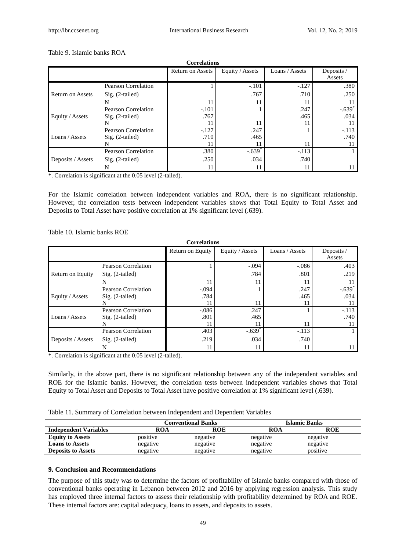| Table 9. Islamic banks ROA |  |
|----------------------------|--|
|----------------------------|--|

| <b>Correlations</b>     |                            |                         |                      |                |                      |  |  |
|-------------------------|----------------------------|-------------------------|----------------------|----------------|----------------------|--|--|
|                         |                            | <b>Return on Assets</b> | Equity / Assets      | Loans / Assets | Deposits /<br>Assets |  |  |
|                         | <b>Pearson Correlation</b> |                         | $-.101$              | $-.127$        | .380                 |  |  |
| <b>Return on Assets</b> | $Sig. (2-tailed)$          |                         | .767                 | .710           | .250                 |  |  |
|                         | N                          | 11                      |                      |                |                      |  |  |
|                         | <b>Pearson Correlation</b> | $-.101$                 |                      | .247           | $-.639$ <sup>*</sup> |  |  |
| Equity / Assets         | $Sig. (2-tailed)$          | .767                    |                      | .465           | .034                 |  |  |
|                         |                            |                         | 11                   |                |                      |  |  |
|                         | <b>Pearson Correlation</b> | $-.127$                 | .247                 |                | $-.113$              |  |  |
| Loans / Assets          | $Sig. (2-tailed)$          | .710                    | .465                 |                | .740                 |  |  |
|                         |                            | 11                      |                      | 11             |                      |  |  |
| Deposits / Assets       | <b>Pearson Correlation</b> | .380                    | $-.639$ <sup>*</sup> | $-.113$        |                      |  |  |
|                         | $Sig. (2-tailed)$          | .250                    | .034                 | .740           |                      |  |  |
|                         |                            |                         |                      |                |                      |  |  |

\*. Correlation is significant at the 0.05 level (2-tailed).

For the Islamic correlation between independent variables and ROA, there is no significant relationship. However, the correlation tests between independent variables shows that Total Equity to Total Asset and Deposits to Total Asset have positive correlation at 1% significant level (.639).

Table 10. Islamic banks ROE

| <b>Correlations</b> |                            |                  |                      |                |                      |  |  |
|---------------------|----------------------------|------------------|----------------------|----------------|----------------------|--|--|
|                     |                            | Return on Equity | Equity / Assets      | Loans / Assets | Deposits /<br>Assets |  |  |
|                     | <b>Pearson Correlation</b> |                  | $-.094$              | $-.086$        | .403                 |  |  |
| Return on Equity    | $Sig. (2-tailed)$          |                  | .784                 | .801           | .219                 |  |  |
|                     | N                          | 11               | 11                   | 11             |                      |  |  |
| Equity / Assets     | <b>Pearson Correlation</b> | $-.094$          |                      | .247           | $-.639$ <sup>*</sup> |  |  |
|                     | $Sig. (2-tailed)$          | .784             |                      | .465           | .034                 |  |  |
|                     | N                          | 11               | 11                   | 11             |                      |  |  |
| Loans / Assets      | <b>Pearson Correlation</b> | $-.086$          | .247                 |                | $-.113$              |  |  |
|                     | $Sig. (2-tailed)$          | .801             | .465                 |                | .740                 |  |  |
|                     | N                          | 11               | 11                   | 11             | 11                   |  |  |
| Deposits / Assets   | <b>Pearson Correlation</b> | .403             | $-.639$ <sup>*</sup> | $-.113$        |                      |  |  |
|                     | $Sig. (2-tailed)$          | .219             | .034                 | .740           |                      |  |  |
|                     |                            | 11               | 11                   | 11             |                      |  |  |

\*. Correlation is significant at the 0.05 level (2-tailed).

Similarly, in the above part, there is no significant relationship between any of the independent variables and ROE for the Islamic banks. However, the correlation tests between independent variables shows that Total Equity to Total Asset and Deposits to Total Asset have positive correlation at 1% significant level (.639).

| Table 11. Summary of Correlation between Independent and Dependent Variables |  |  |  |  |
|------------------------------------------------------------------------------|--|--|--|--|
|------------------------------------------------------------------------------|--|--|--|--|

|                              |          | <b>Conventional Banks</b> |            | <b>Islamic Banks</b> |  |  |
|------------------------------|----------|---------------------------|------------|----------------------|--|--|
| <b>Independent Variables</b> | ROA      | <b>ROE</b>                | <b>ROA</b> | <b>ROE</b>           |  |  |
| <b>Equity to Assets</b>      | positive | negative                  | negative   | negative             |  |  |
| <b>Loans to Assets</b>       | negative | negative                  | negative   | negative             |  |  |
| <b>Deposits to Assets</b>    | negative | negative                  | negative   | positive             |  |  |

#### **9. Conclusion and Recommendations**

The purpose of this study was to determine the factors of profitability of Islamic banks compared with those of conventional banks operating in Lebanon between 2012 and 2016 by applying regression analysis. This study has employed three internal factors to assess their relationship with profitability determined by ROA and ROE. These internal factors are: capital adequacy, loans to assets, and deposits to assets.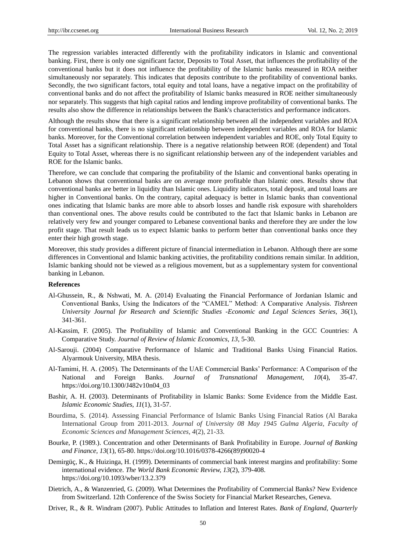The regression variables interacted differently with the profitability indicators in Islamic and conventional banking. First, there is only one significant factor, Deposits to Total Asset, that influences the profitability of the conventional banks but it does not influence the profitability of the Islamic banks measured in ROA neither simultaneously nor separately. This indicates that deposits contribute to the profitability of conventional banks. Secondly, the two significant factors, total equity and total loans, have a negative impact on the profitability of conventional banks and do not affect the profitability of Islamic banks measured in ROE neither simultaneously nor separately. This suggests that high capital ratios and lending improve profitability of conventional banks. The results also show the difference in relationships between the Bank's characteristics and performance indicators.

Although the results show that there is a significant relationship between all the independent variables and ROA for conventional banks, there is no significant relationship between independent variables and ROA for Islamic banks. Moreover, for the Conventional correlation between independent variables and ROE, only Total Equity to Total Asset has a significant relationship. There is a negative relationship between ROE (dependent) and Total Equity to Total Asset, whereas there is no significant relationship between any of the independent variables and ROE for the Islamic banks.

Therefore, we can conclude that comparing the profitability of the Islamic and conventional banks operating in Lebanon shows that conventional banks are on average more profitable than Islamic ones. Results show that conventional banks are better in liquidity than Islamic ones. Liquidity indicators, total deposit, and total loans are higher in Conventional banks. On the contrary, capital adequacy is better in Islamic banks than conventional ones indicating that Islamic banks are more able to absorb losses and handle risk exposure with shareholders than conventional ones. The above results could be contributed to the fact that Islamic banks in Lebanon are relatively very few and younger compared to Lebanese conventional banks and therefore they are under the low profit stage. That result leads us to expect Islamic banks to perform better than conventional banks once they enter their high growth stage.

Moreover, this study provides a different picture of financial intermediation in Lebanon. Although there are some differences in Conventional and Islamic banking activities, the profitability conditions remain similar. In addition, Islamic banking should not be viewed as a religious movement, but as a supplementary system for conventional banking in Lebanon.

# **References**

- Al-Ghussein, R., & Nshwati, M. A. (2014) Evaluating the Financial Performance of Jordanian Islamic and Conventional Banks, Using the Indicators of the "CAMEL" Method: A Comparative Analysis. *Tishreen University Journal for Research and Scientific Studies -Economic and Legal Sciences Series, 36*(1), 341-361.
- Al-Kassim, F. (2005). The Profitability of Islamic and Conventional Banking in the GCC Countries: A Comparative Study. *Journal of Review of Islamic Economics, 13*, 5-30.
- Al-Sarouji. (2004) Comparative Performance of Islamic and Traditional Banks Using Financial Ratios. Alyarmouk University, MBA thesis.
- Al-Tamimi, H. A. (2005). The Determinants of the UAE Commercial Banks' Performance: A Comparison of the National and Foreign Banks. *Journal of Transnational Management, 10*(4), 35-47. https://doi.org/10.1300/J482v10n04\_03
- Bashir, A. H. (2003). Determinants of Profitability in Islamic Banks: Some Evidence from the Middle East. *Islamic Economic Studies, 11*(1), 31-57.
- Bourdima, S. (2014). Assessing Financial Performance of Islamic Banks Using Financial Ratios (Al Baraka International Group from 2011-2013. *Journal of University 08 May 1945 Gulma Algeria, Faculty of Economic Sciences and Management Sciences, 4*(2), 21-33.
- Bourke, P. (1989.). Concentration and other Determinants of Bank Profitability in Europe. *Journal of Banking and Finance, 13*(1), 65-80. https://doi.org/10.1016/0378-4266(89)90020-4
- Demirgüç, K., & Huizinga, H. (1999). Determinants of commercial bank interest margins and profitability: Some international evidence. *The World Bank Economic Review, 13*(2), 379-408. https://doi.org/10.1093/wber/13.2.379
- Dietrich, A., & Wanzenried, G. (2009). What Determines the Profitability of Commercial Banks? New Evidence from Switzerland. 12th Conference of the Swiss Society for Financial Market Researches, Geneva.
- Driver, R., & R. Windram (2007). Public Attitudes to Inflation and Interest Rates. *Bank of England, Quarterly*